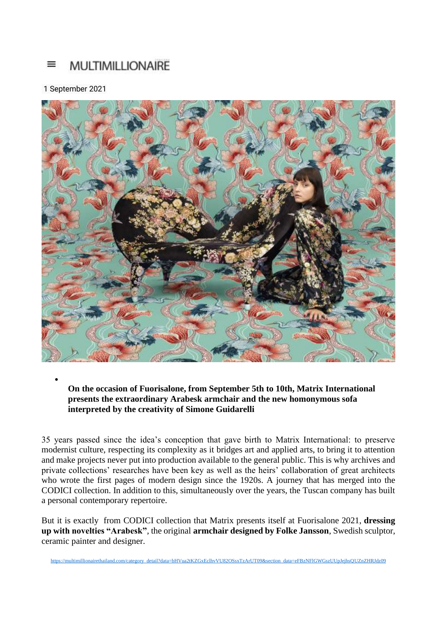## ≡ **MULTIMILLIONAIRE**

## 1 September 2021

•



## **On the occasion of Fuorisalone, from September 5th to 10th, Matrix International presents the extraordinary Arabesk armchair and the new homonymous sofa interpreted by the creativity of Simone Guidarelli**

35 years passed since the idea's conception that gave birth to Matrix International: to preserve modernist culture, respecting its complexity as it bridges art and applied arts, to bring it to attention and make projects never put into production available to the general public. This is why archives and private collections' researches have been key as well as the heirs' collaboration of great architects who wrote the first pages of modern design since the 1920s. A journey that has merged into the CODICI collection. In addition to this, simultaneously over the years, the Tuscan company has built a personal contemporary repertoire.

But it is exactly from CODICI collection that Matrix presents itself at Fuorisalone 2021, **dressing up with novelties "Arabesk"**, the original **armchair designed by Folke Jansson**, Swedish sculptor, ceramic painter and designer.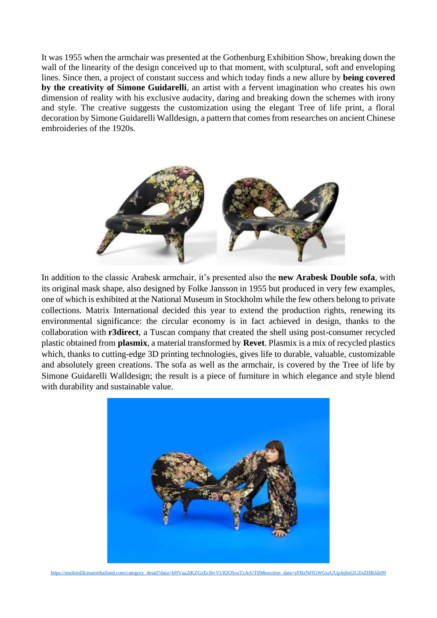It was 1955 when the armchair was presented at the Gothenburg Exhibition Show, breaking down the wall of the linearity of the design conceived up to that moment, with sculptural, soft and enveloping lines. Since then, a project of constant success and which today finds a new allure by **being covered by the creativity of Simone Guidarelli**, an artist with a fervent imagination who creates his own dimension of reality with his exclusive audacity, daring and breaking down the schemes with irony and style. The creative suggests the customization using the elegant Tree of life print, a floral decoration by Simone Guidarelli Walldesign, a pattern that comes from researches on ancient Chinese embroideries of the 1920s.



In addition to the classic Arabesk armchair, it's presented also the **new Arabesk Double sofa**, with its original mask shape, also designed by Folke Jansson in 1955 but produced in very few examples, one of which is exhibited at the National Museum in Stockholm while the few others belong to private collections. Matrix International decided this year to extend the production rights, renewing its environmental significance: the circular economy is in fact achieved in design, thanks to the collaboration with **r3direct**, a Tuscan company that created the shell using post-consumer recycled plastic obtained from **plasmix**, a material transformed by **Revet**. Plasmix is a mix of recycled plastics which, thanks to cutting-edge 3D printing technologies, gives life to durable, valuable, customizable and absolutely green creations. The sofa as well as the armchair, is covered by the Tree of life by Simone Guidarelli Walldesign; the result is a piece of furniture in which elegance and style blend with durability and sustainable value.



[https://multimillionairethailand.com/category\\_detail?data=bHVua2tKZGxEclhvVU82OSsxTzArUT09&section\\_data=eFBzNFlGWGszUUpJejhsQUZnZHRJdz09](https://multimillionairethailand.com/category_detail?data=bHVua2tKZGxEclhvVU82OSsxTzArUT09§ion_data=eFBzNFlGWGszUUpJejhsQUZnZHRJdz09)